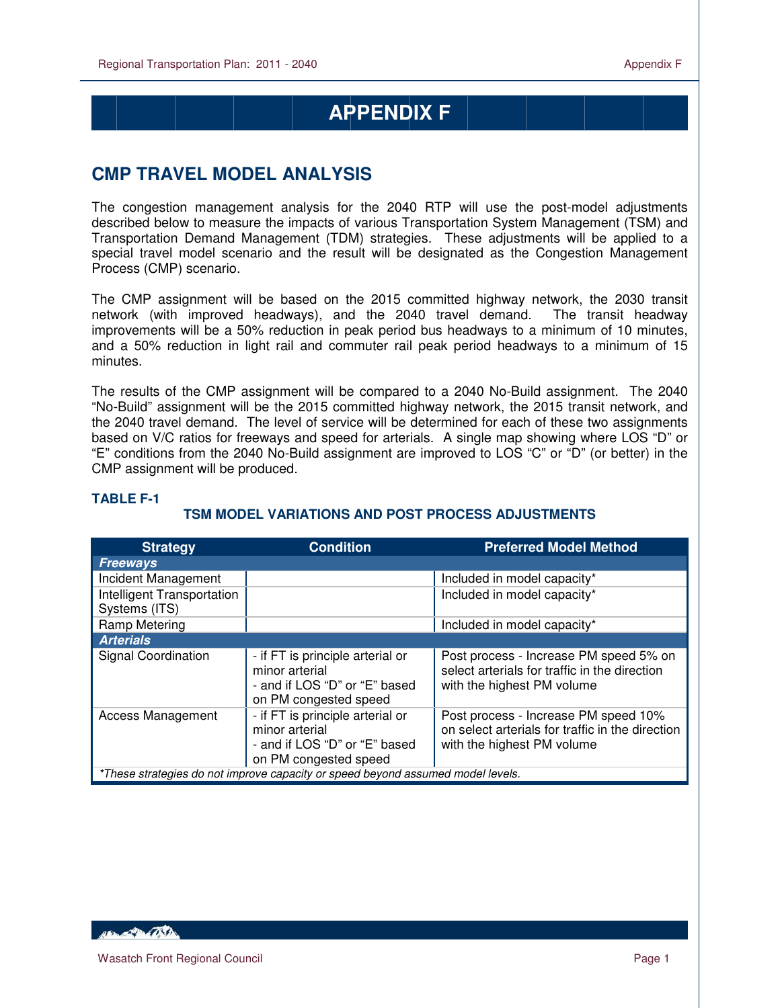# **APPENDIX F**

## **CMP TRAVEL MODEL ANALYSIS**

The congestion management analysis for the 2040 RTP will use the post-model adjustments described below to measure the impacts of various Transportation System Management (TSM) and Transportation Demand Management (TDM) strategies. These adjustments will be applied to a special travel model scenario and the result will be designated as the Congestion Management Process (CMP) scenario.

The CMP assignment will be based on the 2015 committed highway network, the 2030 transit network (with improved headways), and the 2040 travel demand. The transit headway improvements will be a 50% reduction in peak period bus headways to a minimum of 10 minutes, and a 50% reduction in light rail and commuter rail peak period headways to a minimum of 15 minutes.

The results of the CMP assignment will be compared to a 2040 No-Build assignment. The 2040 "No-Build" assignment will be the 2015 committed highway network, the 2015 transit network, and the 2040 travel demand. The level of service will be determined for each of these two assignments based on V/C ratios for freeways and speed for arterials. A single map showing where LOS "D" or "E" conditions from the 2040 No-Build assignment are improved to LOS "C" or "D" (or better) in the CMP assignment will be produced.

| <b>Strategy</b>                                                                 | <b>Condition</b>                                                                                             | <b>Preferred Model Method</b>                                                                                          |  |
|---------------------------------------------------------------------------------|--------------------------------------------------------------------------------------------------------------|------------------------------------------------------------------------------------------------------------------------|--|
| <b>Freeways</b>                                                                 |                                                                                                              |                                                                                                                        |  |
| Incident Management                                                             |                                                                                                              | Included in model capacity*                                                                                            |  |
| Intelligent Transportation<br>Systems (ITS)                                     |                                                                                                              | Included in model capacity*                                                                                            |  |
| <b>Ramp Metering</b>                                                            |                                                                                                              | Included in model capacity*                                                                                            |  |
| <b>Arterials</b>                                                                |                                                                                                              |                                                                                                                        |  |
| <b>Signal Coordination</b>                                                      | - if FT is principle arterial or<br>minor arterial<br>- and if LOS "D" or "E" based<br>on PM congested speed | Post process - Increase PM speed 5% on<br>select arterials for traffic in the direction<br>with the highest PM volume  |  |
| <b>Access Management</b>                                                        | - if FT is principle arterial or<br>minor arterial<br>- and if LOS "D" or "E" based<br>on PM congested speed | Post process - Increase PM speed 10%<br>on select arterials for traffic in the direction<br>with the highest PM volume |  |
| *These strategies do not improve capacity or speed beyond assumed model levels. |                                                                                                              |                                                                                                                        |  |

#### **TABLE F-1**

 $\overline{a}$ 

#### **TSM MODEL VARIATIONS AND POST PROCESS ADJUSTMENTS**

*ABLACTER (DS)*